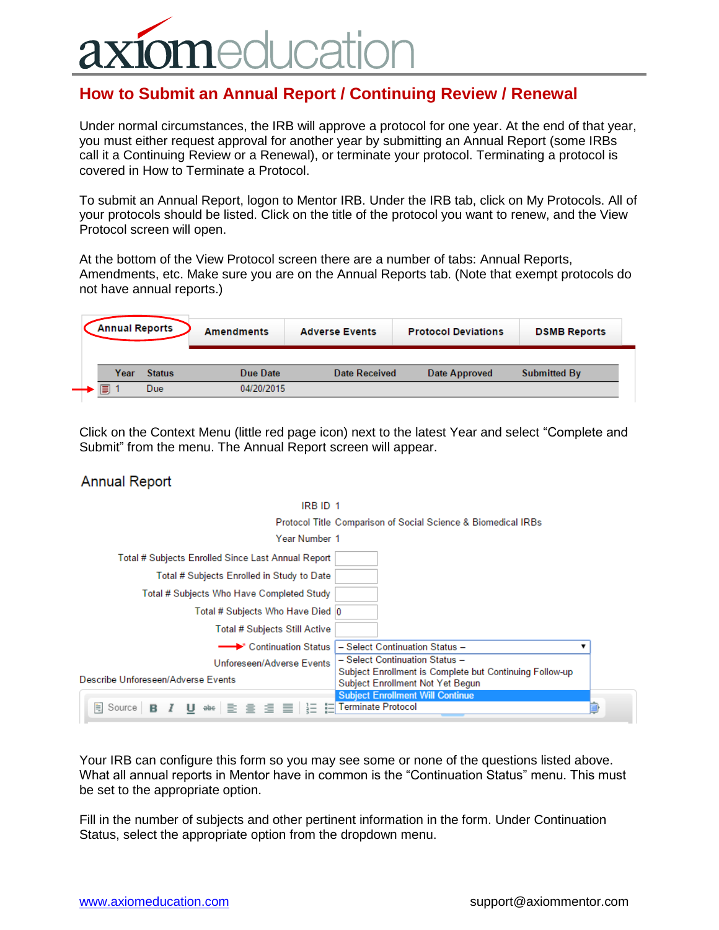## **ICatio**

## **How to Submit an Annual Report / Continuing Review / Renewal**

Under normal circumstances, the IRB will approve a protocol for one year. At the end of that year, you must either request approval for another year by submitting an Annual Report (some IRBs call it a Continuing Review or a Renewal), or terminate your protocol. Terminating a protocol is covered in How to Terminate a Protocol.

To submit an Annual Report, logon to Mentor IRB. Under the IRB tab, click on My Protocols. All of your protocols should be listed. Click on the title of the protocol you want to renew, and the View Protocol screen will open.

At the bottom of the View Protocol screen there are a number of tabs: Annual Reports, Amendments, etc. Make sure you are on the Annual Reports tab. (Note that exempt protocols do not have annual reports.)

| <b>Annual Reports</b> |      |                      | <b>Amendments</b>      | <b>Adverse Events</b> | <b>Protocol Deviations</b> | <b>DSMB Reports</b> |
|-----------------------|------|----------------------|------------------------|-----------------------|----------------------------|---------------------|
| I                     | Year | <b>Status</b><br>Due | Due Date<br>04/20/2015 | Date Received         | Date Approved              | <b>Submitted By</b> |

Click on the Context Menu (little red page icon) next to the latest Year and select "Complete and Submit" from the menu. The Annual Report screen will appear.

## **Annual Report**

| IRB ID 1                                                                                                     |                                                                                           |  |
|--------------------------------------------------------------------------------------------------------------|-------------------------------------------------------------------------------------------|--|
|                                                                                                              | Protocol Title Comparison of Social Science & Biomedical IRBs                             |  |
| Year Number 1                                                                                                |                                                                                           |  |
| Total # Subjects Enrolled Since Last Annual Report                                                           |                                                                                           |  |
| Total # Subjects Enrolled in Study to Date                                                                   |                                                                                           |  |
| Total # Subjects Who Have Completed Study                                                                    |                                                                                           |  |
| Total # Subjects Who Have Died  0                                                                            |                                                                                           |  |
| <b>Total # Subjects Still Active</b>                                                                         |                                                                                           |  |
| <b>←←▶ Continuation Status</b>                                                                               | - Select Continuation Status -                                                            |  |
| Unforeseen/Adverse Events                                                                                    | - Select Continuation Status -<br>Subject Enrollment is Complete but Continuing Follow-up |  |
| Describe Unforeseen/Adverse Events                                                                           | Subject Enrollment Not Yet Begun                                                          |  |
|                                                                                                              | <b>Subject Enrollment Will Continue</b>                                                   |  |
| U see $\equiv$ $\equiv$ $\equiv$ $\equiv$ $\equiv$ $\equiv$ Terminate Protocol<br>E.<br>Source <b>B</b><br>1 |                                                                                           |  |

Your IRB can configure this form so you may see some or none of the questions listed above. What all annual reports in Mentor have in common is the "Continuation Status" menu. This must be set to the appropriate option.

Fill in the number of subjects and other pertinent information in the form. Under Continuation Status, select the appropriate option from the dropdown menu.